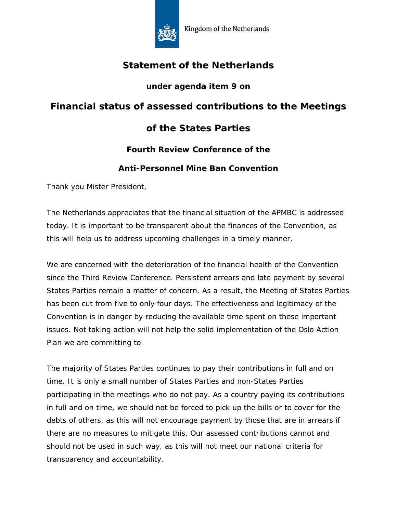

# **Statement of the Netherlands**

### **under agenda item 9 on**

### **Financial status of assessed contributions to the Meetings**

# **of the States Parties**

### **Fourth Review Conference of the**

#### **Anti-Personnel Mine Ban Convention**

Thank you Mister President,

The Netherlands appreciates that the financial situation of the APMBC is addressed today. It is important to be transparent about the finances of the Convention, as this will help us to address upcoming challenges in a timely manner.

We are concerned with the deterioration of the financial health of the Convention since the Third Review Conference. Persistent arrears and late payment by several States Parties remain a matter of concern. As a result, the Meeting of States Parties has been cut from five to only four days. The effectiveness and legitimacy of the Convention is in danger by reducing the available time spent on these important issues. Not taking action will not help the solid implementation of the Oslo Action Plan we are committing to.

The majority of States Parties continues to pay their contributions in full and on time. It is only a small number of States Parties and non-States Parties participating in the meetings who do not pay. As a country paying its contributions in full and on time, we should not be forced to pick up the bills or to cover for the debts of others, as this will not encourage payment by those that are in arrears if there are no measures to mitigate this. Our assessed contributions cannot and should not be used in such way, as this will not meet our national criteria for transparency and accountability.